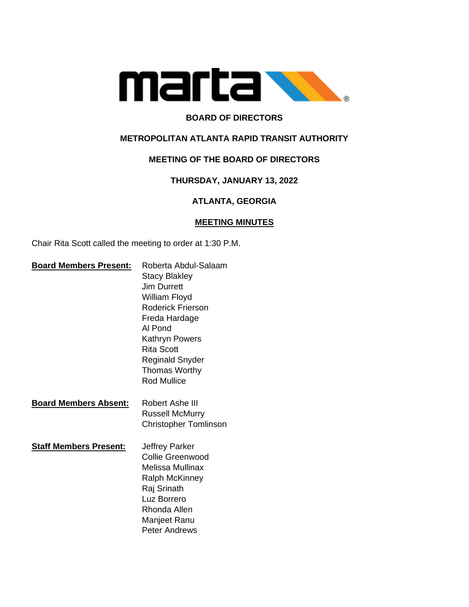

## **BOARD OF DIRECTORS**

### **METROPOLITAN ATLANTA RAPID TRANSIT AUTHORITY**

## **MEETING OF THE BOARD OF DIRECTORS**

### **THURSDAY, JANUARY 13, 2022**

## **ATLANTA, GEORGIA**

#### **MEETING MINUTES**

Chair Rita Scott called the meeting to order at 1:30 P.M.

| <b>Board Members Present:</b> | Roberta Abdul-Salaam         |
|-------------------------------|------------------------------|
|                               | <b>Stacy Blakley</b>         |
|                               | <b>Jim Durrett</b>           |
|                               | William Floyd                |
|                               | <b>Roderick Frierson</b>     |
|                               | Freda Hardage                |
|                               | Al Pond                      |
|                               | <b>Kathryn Powers</b>        |
|                               | <b>Rita Scott</b>            |
|                               | Reginald Snyder              |
|                               | <b>Thomas Worthy</b>         |
|                               | <b>Rod Mullice</b>           |
|                               |                              |
| <b>Board Members Absent:</b>  | Robert Ashe III              |
|                               | <b>Russell McMurry</b>       |
|                               | <b>Christopher Tomlinson</b> |
|                               |                              |
| <b>Staff Members Present:</b> | Jeffrey Parker               |
|                               | <b>Collie Greenwood</b>      |
|                               | Melissa Mullinax             |
|                               | <b>Ralph McKinney</b>        |
|                               | Raj Srinath                  |
|                               | Luz Borrero                  |
|                               | Rhonda Allen                 |
|                               | Manjeet Ranu                 |
|                               | Peter Andrews                |
|                               |                              |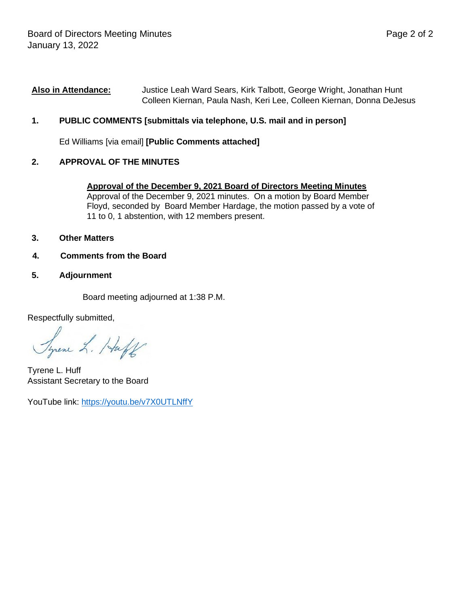#### **Also in Attendance:** Justice Leah Ward Sears, Kirk Talbott, George Wright, Jonathan Hunt Colleen Kiernan, Paula Nash, Keri Lee, Colleen Kiernan, Donna DeJesus

## **1. PUBLIC COMMENTS [submittals via telephone, U.S. mail and in person]**

Ed Williams [via email] **[Public Comments attached]**

## **2. APPROVAL OF THE MINUTES**

#### **Approval of the December 9, 2021 Board of Directors Meeting Minutes**

Approval of the December 9, 2021 minutes. On a motion by Board Member Floyd, seconded by Board Member Hardage, the motion passed by a vote of 11 to 0, 1 abstention, with 12 members present.

- **3. Other Matters**
- **4. Comments from the Board**
- **5. Adjournment**

Board meeting adjourned at 1:38 P.M.

Respectfully submitted,

Syrene L. Huff

Tyrene L. Huff Assistant Secretary to the Board

YouTube link:<https://youtu.be/v7X0UTLNffY>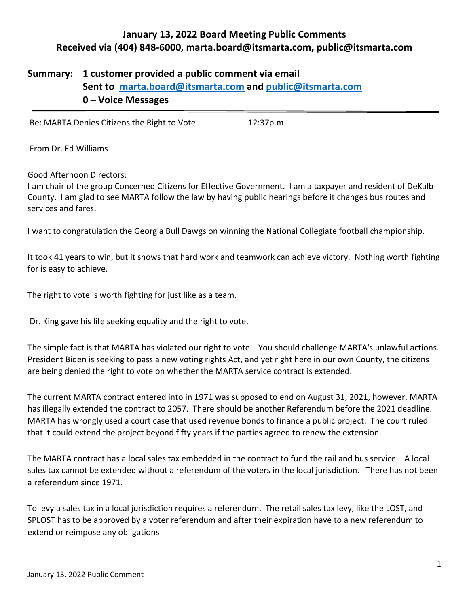## **January 13, 2022 Board Meeting Public Comments Received via (404) 848-6000, [marta.board@itsmarta.com,](mailto:marta.board@itsmarta.com) [public@itsmarta.com](mailto:public@itsmarta.com)**

# **Summary: 1 customer provided a public comment via email Sent to [marta.board@itsmarta.com](mailto:marta.board@itsmarta.com) and [public@itsmarta.com](mailto:public@itsmarta.com) 0 – Voice Messages**

Re: MARTA Denies Citizens the Right to Vote 12:37p.m.

From Dr. Ed Williams

Good Afternoon Directors:

I am chair of the group Concerned Citizens for Effective Government. I am a taxpayer and resident of DeKalb County. I am glad to see MARTA follow the law by having public hearings before it changes bus routes and services and fares.

I want to congratulation the Georgia Bull Dawgs on winning the National Collegiate football championship.

It took 41 years to win, but it shows that hard work and teamwork can achieve victory. Nothing worth fighting for is easy to achieve.

The right to vote is worth fighting for just like as a team.

Dr. King gave his life seeking equality and the right to vote.

The simple fact is that MARTA has violated our right to vote. You should challenge MARTA's unlawful actions. President Biden is seeking to pass a new voting rights Act, and yet right here in our own County, the citizens are being denied the right to vote on whether the MARTA service contract is extended.

The current MARTA contract entered into in 1971 was supposed to end on August 31, 2021, however, MARTA has illegally extended the contract to 2057. There should be another Referendum before the 2021 deadline. MARTA has wrongly used a court case that used revenue bonds to finance a public project. The court ruled that it could extend the project beyond fifty years if the parties agreed to renew the extension.

The MARTA contract has a local sales tax embedded in the contract to fund the rail and bus service. A local sales tax cannot be extended without a referendum of the voters in the local jurisdiction. There has not been a referendum since 1971.

To levy a sales tax in a local jurisdiction requires a referendum. The retail sales tax levy, like the LOST, and SPLOST has to be approved by a voter referendum and after their expiration have to a new referendum to extend or reimpose any obligations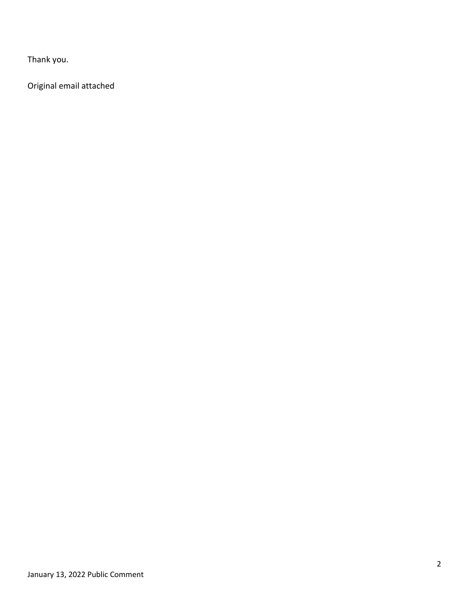Thank you.

Original email attached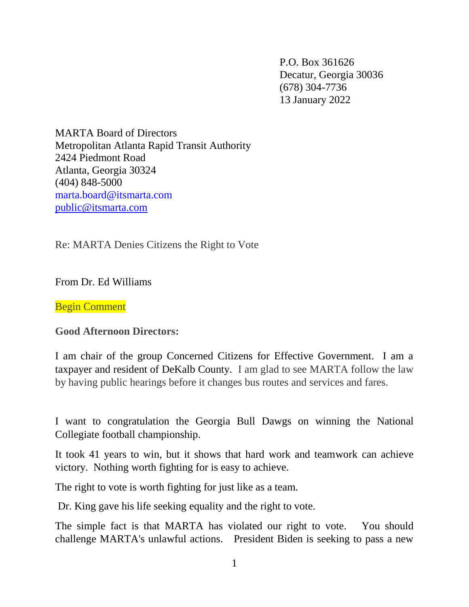P.O. Box 361626 Decatur, Georgia 30036 (678) 304-7736 13 January 2022

MARTA Board of Directors Metropolitan Atlanta Rapid Transit Authority 2424 Piedmont Road Atlanta, Georgia 30324 (404) 848-5000 marta.board@itsmarta.com [public@itsmarta.com](mailto:public@itsmarta.com)

Re: MARTA Denies Citizens the Right to Vote

From Dr. Ed Williams

Begin Comment

**Good Afternoon Directors:**

I am chair of the group Concerned Citizens for Effective Government. I am a taxpayer and resident of DeKalb County. I am glad to see MARTA follow the law by having public hearings before it changes bus routes and services and fares.

I want to congratulation the Georgia Bull Dawgs on winning the National Collegiate football championship.

It took 41 years to win, but it shows that hard work and teamwork can achieve victory. Nothing worth fighting for is easy to achieve.

The right to vote is worth fighting for just like as a team.

Dr. King gave his life seeking equality and the right to vote.

The simple fact is that MARTA has violated our right to vote. You should challenge MARTA's unlawful actions. President Biden is seeking to pass a new